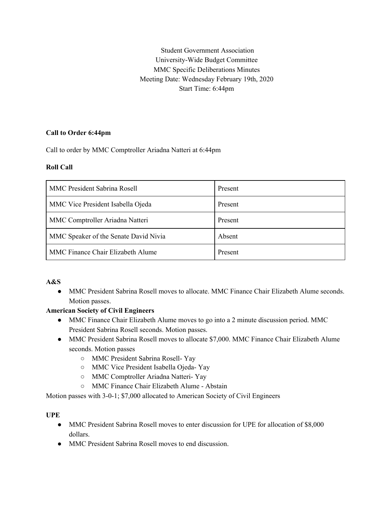Student Government Association University-Wide Budget Committee MMC Specific Deliberations Minutes Meeting Date: Wednesday February 19th, 2020 Start Time: 6:44pm

## **Call to Order 6:44pm**

Call to order by MMC Comptroller Ariadna Natteri at 6:44pm

## **Roll Call**

| <b>MMC President Sabrina Rosell</b>   | Present |
|---------------------------------------|---------|
| MMC Vice President Isabella Ojeda     | Present |
| MMC Comptroller Ariadna Natteri       | Present |
| MMC Speaker of the Senate David Nivia | Absent  |
| MMC Finance Chair Elizabeth Alume     | Present |

### **A&S**

● MMC President Sabrina Rosell moves to allocate. MMC Finance Chair Elizabeth Alume seconds. Motion passes.

### **American Society of Civil Engineers**

- MMC Finance Chair Elizabeth Alume moves to go into a 2 minute discussion period. MMC President Sabrina Rosell seconds. Motion passes.
- MMC President Sabrina Rosell moves to allocate \$7,000. MMC Finance Chair Elizabeth Alume seconds. Motion passes
	- MMC President Sabrina Rosell- Yay
	- MMC Vice President Isabella Ojeda- Yay
	- MMC Comptroller Ariadna Natteri- Yay
	- MMC Finance Chair Elizabeth Alume Abstain

Motion passes with 3-0-1; \$7,000 allocated to American Society of Civil Engineers

# **UPE**

- MMC President Sabrina Rosell moves to enter discussion for UPE for allocation of \$8,000 dollars.
- MMC President Sabrina Rosell moves to end discussion.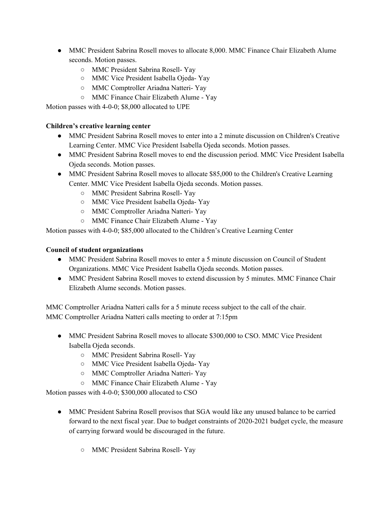- MMC President Sabrina Rosell moves to allocate 8,000. MMC Finance Chair Elizabeth Alume seconds. Motion passes.
	- MMC President Sabrina Rosell- Yay
	- MMC Vice President Isabella Ojeda- Yay
	- MMC Comptroller Ariadna Natteri- Yay
	- MMC Finance Chair Elizabeth Alume Yay

Motion passes with 4-0-0; \$8,000 allocated to UPE

## **Children's creative learning center**

- MMC President Sabrina Rosell moves to enter into a 2 minute discussion on Children's Creative Learning Center. MMC Vice President Isabella Ojeda seconds. Motion passes.
- MMC President Sabrina Rosell moves to end the discussion period. MMC Vice President Isabella Ojeda seconds. Motion passes.
- MMC President Sabrina Rosell moves to allocate \$85,000 to the Children's Creative Learning Center. MMC Vice President Isabella Ojeda seconds. Motion passes.
	- MMC President Sabrina Rosell- Yay
	- MMC Vice President Isabella Ojeda- Yay
	- MMC Comptroller Ariadna Natteri- Yay
	- MMC Finance Chair Elizabeth Alume Yay

Motion passes with 4-0-0; \$85,000 allocated to the Children's Creative Learning Center

# **Council of student organizations**

- MMC President Sabrina Rosell moves to enter a 5 minute discussion on Council of Student Organizations. MMC Vice President Isabella Ojeda seconds. Motion passes.
- MMC President Sabrina Rosell moves to extend discussion by 5 minutes. MMC Finance Chair Elizabeth Alume seconds. Motion passes.

MMC Comptroller Ariadna Natteri calls for a 5 minute recess subject to the call of the chair. MMC Comptroller Ariadna Natteri calls meeting to order at 7:15pm

- MMC President Sabrina Rosell moves to allocate \$300,000 to CSO. MMC Vice President Isabella Ojeda seconds.
	- MMC President Sabrina Rosell- Yay
	- MMC Vice President Isabella Ojeda- Yay
	- MMC Comptroller Ariadna Natteri- Yay
	- MMC Finance Chair Elizabeth Alume Yay

Motion passes with 4-0-0; \$300,000 allocated to CSO

- MMC President Sabrina Rosell provisos that SGA would like any unused balance to be carried forward to the next fiscal year. Due to budget constraints of 2020-2021 budget cycle, the measure of carrying forward would be discouraged in the future.
	- MMC President Sabrina Rosell- Yay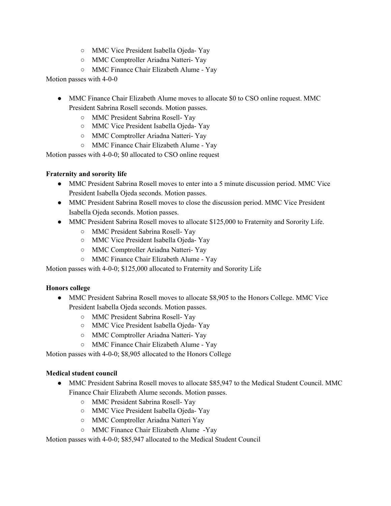- MMC Vice President Isabella Ojeda- Yay
- MMC Comptroller Ariadna Natteri- Yay
- MMC Finance Chair Elizabeth Alume Yay

Motion passes with 4-0-0

- MMC Finance Chair Elizabeth Alume moves to allocate \$0 to CSO online request. MMC President Sabrina Rosell seconds. Motion passes.
	- MMC President Sabrina Rosell- Yay
	- MMC Vice President Isabella Ojeda- Yay
	- MMC Comptroller Ariadna Natteri- Yay
	- MMC Finance Chair Elizabeth Alume Yay

Motion passes with 4-0-0; \$0 allocated to CSO online request

### **Fraternity and sorority life**

- MMC President Sabrina Rosell moves to enter into a 5 minute discussion period. MMC Vice President Isabella Ojeda seconds. Motion passes.
- MMC President Sabrina Rosell moves to close the discussion period. MMC Vice President Isabella Ojeda seconds. Motion passes.
- MMC President Sabrina Rosell moves to allocate \$125,000 to Fraternity and Sorority Life.
	- MMC President Sabrina Rosell- Yay
	- MMC Vice President Isabella Ojeda- Yay
	- MMC Comptroller Ariadna Natteri- Yay
	- MMC Finance Chair Elizabeth Alume Yay

Motion passes with 4-0-0; \$125,000 allocated to Fraternity and Sorority Life

### **Honors college**

- MMC President Sabrina Rosell moves to allocate \$8,905 to the Honors College. MMC Vice President Isabella Ojeda seconds. Motion passes.
	- MMC President Sabrina Rosell- Yay
	- MMC Vice President Isabella Ojeda- Yay
	- MMC Comptroller Ariadna Natteri- Yay
	- MMC Finance Chair Elizabeth Alume Yay

Motion passes with 4-0-0; \$8,905 allocated to the Honors College

### **Medical student council**

- MMC President Sabrina Rosell moves to allocate \$85,947 to the Medical Student Council. MMC Finance Chair Elizabeth Alume seconds. Motion passes.
	- MMC President Sabrina Rosell- Yay
	- MMC Vice President Isabella Ojeda- Yay
	- MMC Comptroller Ariadna Natteri Yay
	- MMC Finance Chair Elizabeth Alume -Yay

Motion passes with 4-0-0; \$85,947 allocated to the Medical Student Council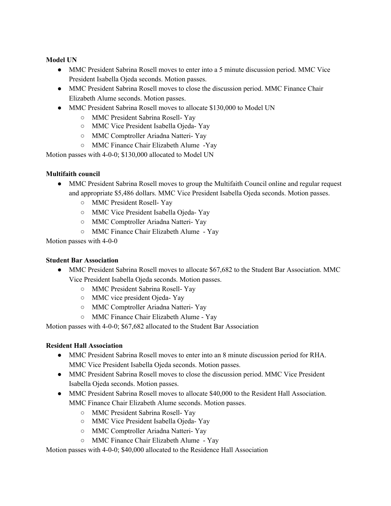## **Model UN**

- MMC President Sabrina Rosell moves to enter into a 5 minute discussion period. MMC Vice President Isabella Ojeda seconds. Motion passes.
- MMC President Sabrina Rosell moves to close the discussion period. MMC Finance Chair Elizabeth Alume seconds. Motion passes.
- MMC President Sabrina Rosell moves to allocate \$130,000 to Model UN
	- MMC President Sabrina Rosell- Yay
	- MMC Vice President Isabella Ojeda- Yay
	- MMC Comptroller Ariadna Natteri- Yay
	- MMC Finance Chair Elizabeth Alume -Yay

Motion passes with 4-0-0; \$130,000 allocated to Model UN

### **Multifaith council**

- MMC President Sabrina Rosell moves to group the Multifaith Council online and regular request and appropriate \$5,486 dollars. MMC Vice President Isabella Ojeda seconds. Motion passes.
	- MMC President Rosell- Yay
	- MMC Vice President Isabella Ojeda- Yay
	- MMC Comptroller Ariadna Natteri- Yay
	- MMC Finance Chair Elizabeth Alume Yay

Motion passes with 4-0-0

### **Student Bar Association**

- MMC President Sabrina Rosell moves to allocate \$67,682 to the Student Bar Association. MMC Vice President Isabella Ojeda seconds. Motion passes.
	- MMC President Sabrina Rosell- Yay
	- MMC vice president Ojeda- Yay
	- MMC Comptroller Ariadna Natteri- Yay
	- MMC Finance Chair Elizabeth Alume Yay

Motion passes with 4-0-0; \$67,682 allocated to the Student Bar Association

### **Resident Hall Association**

- MMC President Sabrina Rosell moves to enter into an 8 minute discussion period for RHA. MMC Vice President Isabella Ojeda seconds. Motion passes.
- MMC President Sabrina Rosell moves to close the discussion period. MMC Vice President Isabella Ojeda seconds. Motion passes.
- MMC President Sabrina Rosell moves to allocate \$40,000 to the Resident Hall Association. MMC Finance Chair Elizabeth Alume seconds. Motion passes.
	- MMC President Sabrina Rosell- Yay
	- MMC Vice President Isabella Ojeda- Yay
	- MMC Comptroller Ariadna Natteri- Yay
	- MMC Finance Chair Elizabeth Alume Yay

Motion passes with 4-0-0; \$40,000 allocated to the Residence Hall Association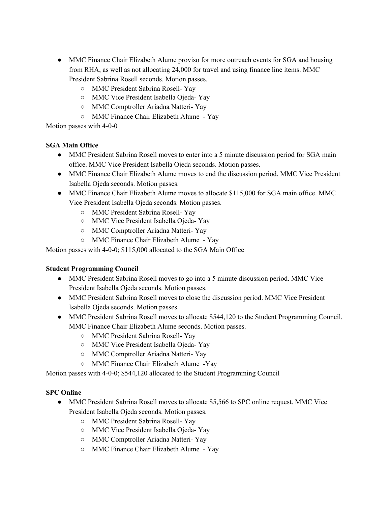- MMC Finance Chair Elizabeth Alume proviso for more outreach events for SGA and housing from RHA, as well as not allocating 24,000 for travel and using finance line items. MMC President Sabrina Rosell seconds. Motion passes.
	- MMC President Sabrina Rosell- Yay
	- MMC Vice President Isabella Ojeda- Yay
	- MMC Comptroller Ariadna Natteri- Yay
	- MMC Finance Chair Elizabeth Alume Yay

Motion passes with 4-0-0

## **SGA Main Office**

- MMC President Sabrina Rosell moves to enter into a 5 minute discussion period for SGA main office. MMC Vice President Isabella Ojeda seconds. Motion passes.
- MMC Finance Chair Elizabeth Alume moves to end the discussion period. MMC Vice President Isabella Ojeda seconds. Motion passes.
- MMC Finance Chair Elizabeth Alume moves to allocate \$115,000 for SGA main office. MMC Vice President Isabella Ojeda seconds. Motion passes.
	- MMC President Sabrina Rosell- Yay
	- MMC Vice President Isabella Ojeda- Yay
	- MMC Comptroller Ariadna Natteri- Yay
	- MMC Finance Chair Elizabeth Alume Yay

Motion passes with 4-0-0; \$115,000 allocated to the SGA Main Office

### **Student Programming Council**

- MMC President Sabrina Rosell moves to go into a 5 minute discussion period. MMC Vice President Isabella Ojeda seconds. Motion passes.
- MMC President Sabrina Rosell moves to close the discussion period. MMC Vice President Isabella Ojeda seconds. Motion passes.
- MMC President Sabrina Rosell moves to allocate \$544,120 to the Student Programming Council. MMC Finance Chair Elizabeth Alume seconds. Motion passes.
	- MMC President Sabrina Rosell- Yay
	- MMC Vice President Isabella Ojeda- Yay
	- MMC Comptroller Ariadna Natteri- Yay
	- MMC Finance Chair Elizabeth Alume -Yay

Motion passes with 4-0-0; \$544,120 allocated to the Student Programming Council

### **SPC Online**

- MMC President Sabrina Rosell moves to allocate \$5,566 to SPC online request. MMC Vice President Isabella Ojeda seconds. Motion passes.
	- MMC President Sabrina Rosell- Yay
	- MMC Vice President Isabella Ojeda- Yay
	- MMC Comptroller Ariadna Natteri- Yay
	- MMC Finance Chair Elizabeth Alume Yay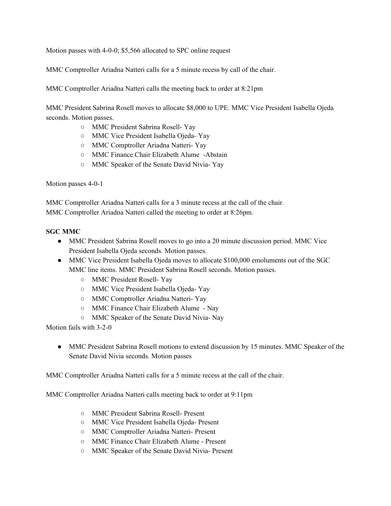Motion passes with 4-0-0; \$5,566 allocated to SPC online request

MMC Comptroller Ariadna Natteri calls for a 5 minute recess by call of the chair.

MMC Comptroller Ariadna Natteri calls the meeting back to order at 8:21pm

MMC President Sabrina Rosell moves to allocate \$8,000 to UPE. MMC Vice President Isabella Ojeda seconds. Motion passes.

- MMC President Sabrina Rosell- Yay
- MMC Vice President Isabella Ojeda- Yay
- MMC Comptroller Ariadna Natteri- Yay
- MMC Finance Chair Elizabeth Alume -Abstain
- MMC Speaker of the Senate David Nivia- Yay

Motion passes 4-0-1

MMC Comptroller Ariadna Natteri calls for a 3 minute recess at the call of the chair. MMC Comptroller Ariadna Natteri called the meeting to order at 8:26pm.

#### **SGC MMC**

- MMC President Sabrina Rosell moves to go into a 20 minute discussion period. MMC Vice President Isabella Ojeda seconds. Motion passes.
- MMC Vice President Isabella Ojeda moves to allocate \$100,000 emoluments out of the SGC MMC line items. MMC President Sabrina Rosell seconds. Motion passes.
	- MMC President Rosell- Yay
	- MMC Vice President Isabella Ojeda- Yay
	- MMC Comptroller Ariadna Natteri- Yay
	- MMC Finance Chair Elizabeth Alume Nay
	- MMC Speaker of the Senate David Nivia- Nay

Motion fails with 3-2-0

• MMC President Sabrina Rosell motions to extend discussion by 15 minutes. MMC Speaker of the Senate David Nivia seconds. Motion passes

MMC Comptroller Ariadna Natteri calls for a 5 minute recess at the call of the chair.

MMC Comptroller Ariadna Natteri calls meeting back to order at 9:11pm

- MMC President Sabrina Rosell- Present
- MMC Vice President Isabella Ojeda- Present
- MMC Comptroller Ariadna Natteri- Present
- MMC Finance Chair Elizabeth Alume Present
- MMC Speaker of the Senate David Nivia- Present